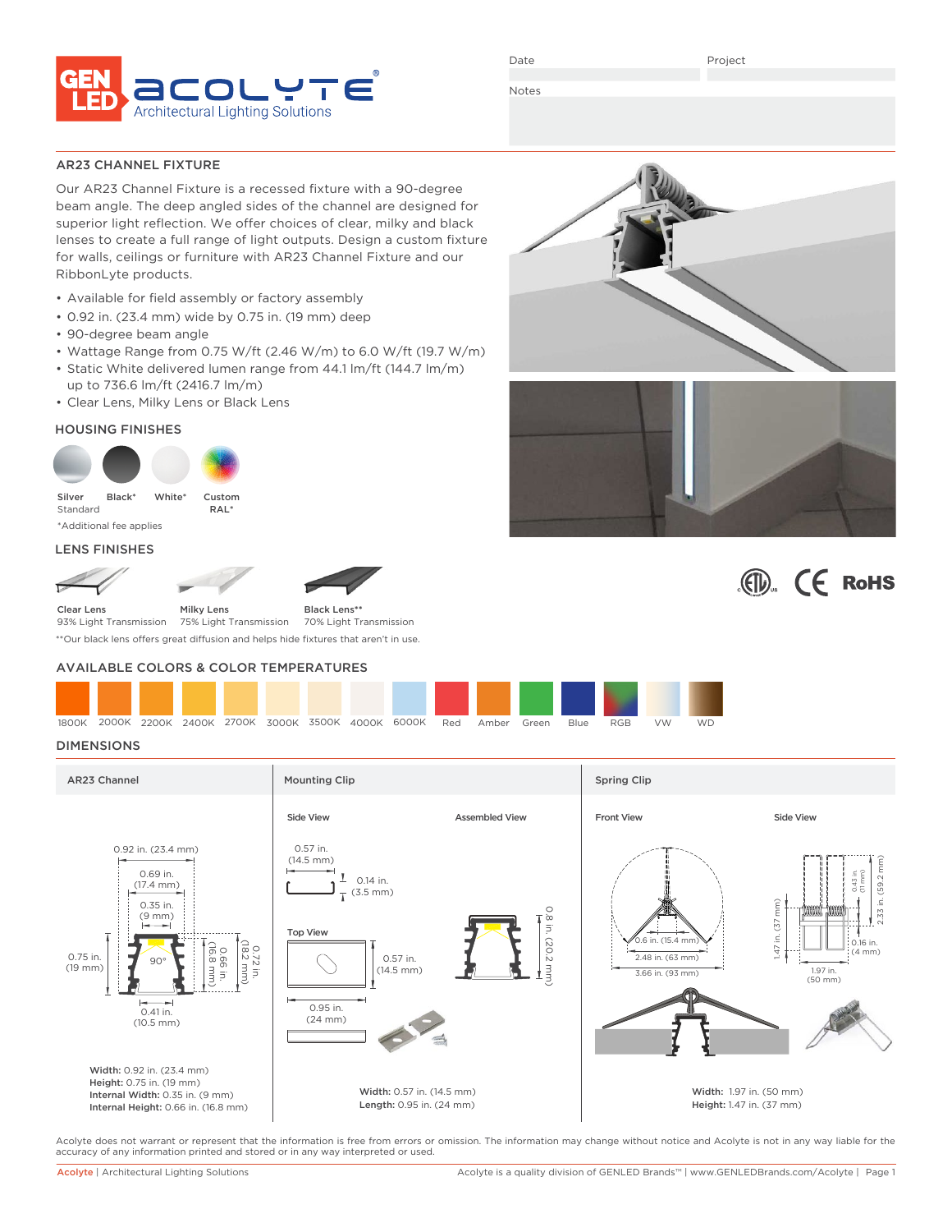

Date

Project

Notes

# AR23 CHANNEL FIXTURE

Our AR23 Channel Fixture is a recessed fixture with a 90-degree beam angle. The deep angled sides of the channel are designed for superior light reflection. We offer choices of clear, milky and black lenses to create a full range of light outputs. Design a custom fixture for walls, ceilings or furniture with AR23 Channel Fixture and our RibbonLyte products.

- Available for field assembly or factory assembly
- 0.92 in. (23.4 mm) wide by 0.75 in. (19 mm) deep
- 90-degree beam angle
- Wattage Range from 0.75 W/ft (2.46 W/m) to 6.0 W/ft (19.7 W/m)
- Static White delivered lumen range from 44.1 lm/ft (144.7 lm/m) up to 736.6 lm/ft (2416.7 lm/m)
- Clear Lens, Milky Lens or Black Lens

# HOUSING FINISHES



\*Additional fee applies

### LENS FINISHES



75% Light Transmission Black Lens**\*\*** 70% Light Transmission 93% Light Transmission

\*\*Our black lens offers great diffusion and helps hide fixtures that aren't in use.

# AVAILABLE COLORS & COLOR TEMPERATURES

| 1800K |  |  |  | 2000K 2200K 2400K 2700K 3000K 3500K 4000K 6000K Red Amber |  | Green | <b>Blue</b> | <b>RGB</b> | VW | <b>WD</b> |
|-------|--|--|--|-----------------------------------------------------------|--|-------|-------------|------------|----|-----------|

# DIMENSIONS



Acolyte does not warrant or represent that the information is free from errors or omission. The information may change without notice and Acolyte is not in any way liable for the accuracy of any information printed and stored or in any way interpreted or used.





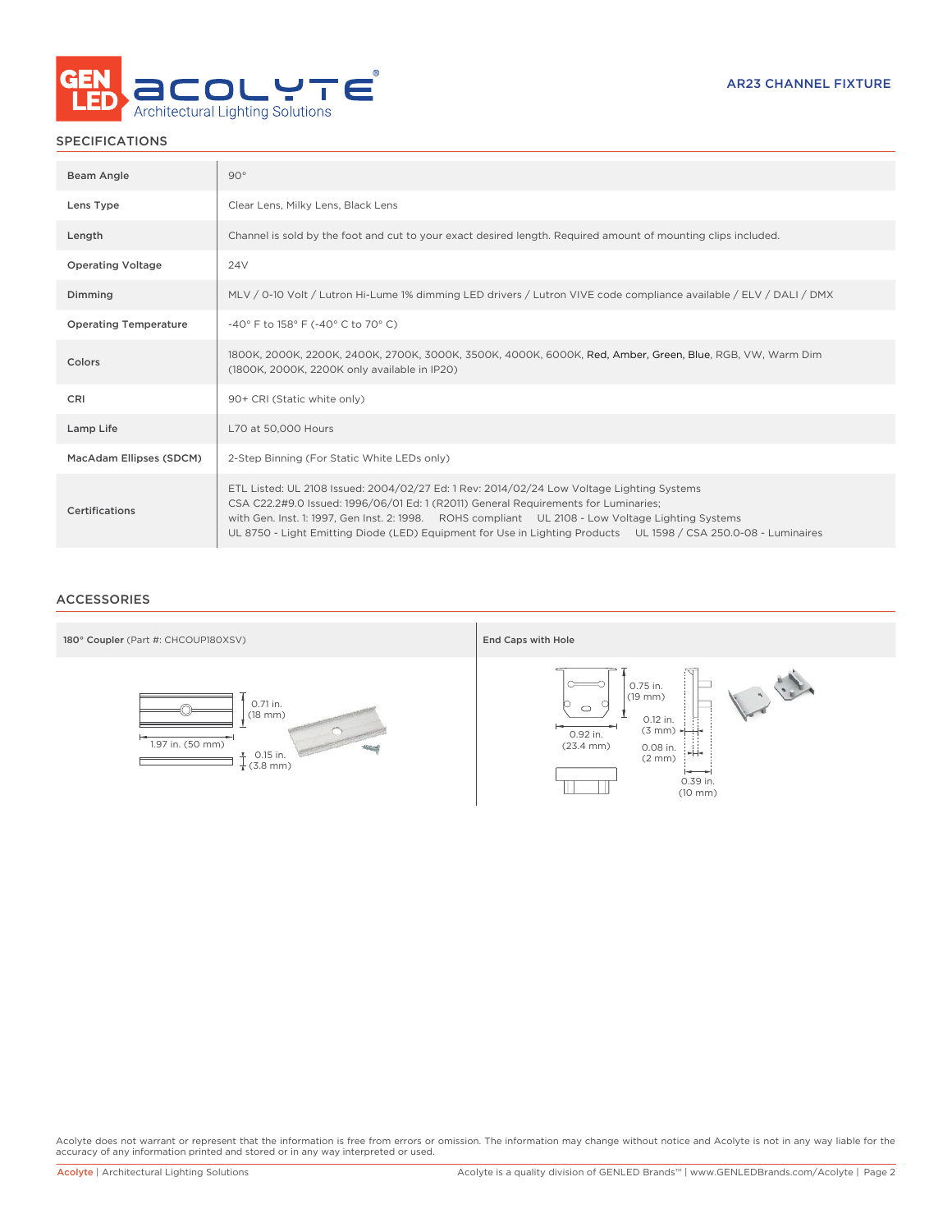

# SPECIFICATIONS

| Beam Angle                   | $90^\circ$                                                                                                                                                                                                                                                                                                                                                                                               |
|------------------------------|----------------------------------------------------------------------------------------------------------------------------------------------------------------------------------------------------------------------------------------------------------------------------------------------------------------------------------------------------------------------------------------------------------|
| Lens Type                    | Clear Lens, Milky Lens, Black Lens                                                                                                                                                                                                                                                                                                                                                                       |
| Length                       | Channel is sold by the foot and cut to your exact desired length. Required amount of mounting clips included.                                                                                                                                                                                                                                                                                            |
| <b>Operating Voltage</b>     | 24 <sub>V</sub>                                                                                                                                                                                                                                                                                                                                                                                          |
| Dimming                      | MLV / 0-10 Volt / Lutron Hi-Lume 1% dimming LED drivers / Lutron VIVE code compliance available / ELV / DALI / DMX                                                                                                                                                                                                                                                                                       |
| <b>Operating Temperature</b> | -40° F to 158° F (-40° C to 70° C)                                                                                                                                                                                                                                                                                                                                                                       |
| Colors                       | 1800K, 2000K, 2200K, 2400K, 2700K, 3000K, 3500K, 4000K, 6000K, Red, Amber, Green, Blue, RGB, VW, Warm Dim<br>(1800K, 2000K, 2200K only available in IP20)                                                                                                                                                                                                                                                |
| CRI                          | 90+ CRI (Static white only)                                                                                                                                                                                                                                                                                                                                                                              |
| Lamp Life                    | L70 at 50,000 Hours                                                                                                                                                                                                                                                                                                                                                                                      |
| MacAdam Ellipses (SDCM)      | 2-Step Binning (For Static White LEDs only)                                                                                                                                                                                                                                                                                                                                                              |
| Certifications               | ETL Listed: UL 2108 Issued: 2004/02/27 Ed: 1 Rev: 2014/02/24 Low Voltage Lighting Systems<br>CSA C22.2#9.0 Issued: 1996/06/01 Ed: 1 (R2011) General Requirements for Luminaries;<br>with Gen. Inst. 1: 1997, Gen Inst. 2: 1998. ROHS compliant UL 2108 - Low Voltage Lighting Systems<br>UL 8750 - Light Emitting Diode (LED) Equipment for Use in Lighting Products UL 1598 / CSA 250.0-08 - Luminaires |

# ACCESSORIES



Acolyte does not warrant or represent that the information is free from errors or omission. The information may change without notice and Acolyte is not in any way liable for the<br>accuracy of any information printed and sto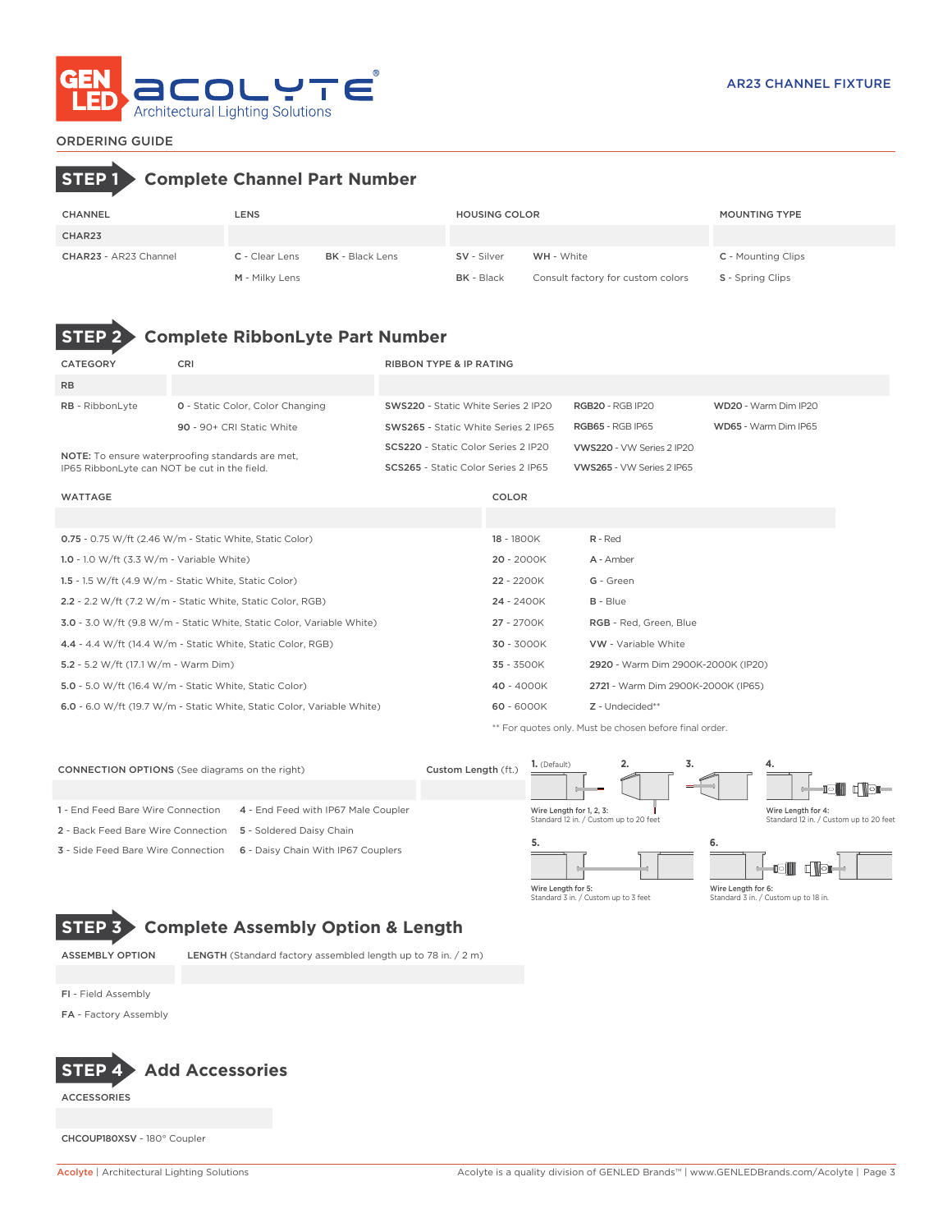

# ORDERING GUIDE

# **STEP 1 Complete Channel Part Number**

| <b>CHANNEL</b>        | LENS                  |                        | <b>HOUSING COLOR</b> |                                   | <b>MOUNTING TYPE</b>      |
|-----------------------|-----------------------|------------------------|----------------------|-----------------------------------|---------------------------|
| CHAR23                |                       |                        |                      |                                   |                           |
| CHAR23 - AR23 Channel | <b>C</b> - Clear Lens | <b>BK</b> - Black Lens | SV - Silver          | <b>WH</b> - White                 | <b>C</b> - Mounting Clips |
|                       | M - Milky Lens        |                        | <b>BK</b> - Black    | Consult factory for custom colors | <b>S</b> - Spring Clips   |

# **STEP 2 Complete RibbonLyte Part Number**

| CATEGORY                                     | CRI                                                                    | <b>RIBBON TYPE &amp; IP RATING</b>  |            |                                    |                      |  |
|----------------------------------------------|------------------------------------------------------------------------|-------------------------------------|------------|------------------------------------|----------------------|--|
| <b>RB</b>                                    |                                                                        |                                     |            |                                    |                      |  |
| RB - RibbonLyte                              | <b>0</b> - Static Color, Color Changing                                | SWS220 - Static White Series 2 IP20 |            | <b>RGB20 - RGB IP20</b>            | WD20 - Warm Dim IP20 |  |
|                                              | 90 - 90+ CRI Static White                                              | SWS265 - Static White Series 2 IP65 |            | <b>RGB65 - RGB IP65</b>            | WD65 - Warm Dim IP65 |  |
|                                              | NOTE: To ensure waterproofing standards are met,                       | SCS220 - Static Color Series 2 IP20 |            | VWS220 - VW Series 2 IP20          |                      |  |
| IP65 RibbonLyte can NOT be cut in the field. |                                                                        | SCS265 - Static Color Series 2 IP65 |            | VWS265 - VW Series 2 IP65          |                      |  |
| WATTAGE                                      |                                                                        |                                     | COLOR      |                                    |                      |  |
|                                              |                                                                        |                                     |            |                                    |                      |  |
|                                              | 0.75 - 0.75 W/ft (2.46 W/m - Static White, Static Color)               | 18 - 1800K                          |            | $R - Red$                          |                      |  |
| 1.0 - 1.0 W/ft $(3.3 W/m - Variable White)$  |                                                                        |                                     | 20 - 2000K | A - Amber                          |                      |  |
|                                              | 1.5 - 1.5 W/ft $(4.9 \text{ W/m}$ - Static White, Static Color)        |                                     | 22 - 2200K | G - Green                          |                      |  |
|                                              | 2.2 - 2.2 W/ft (7.2 W/m - Static White, Static Color, RGB)             |                                     | 24 - 2400K | $B - Blue$                         |                      |  |
|                                              | 3.0 - 3.0 W/ft (9.8 W/m - Static White, Static Color, Variable White)  |                                     | 27 - 2700K | RGB - Red, Green, Blue             |                      |  |
|                                              | 4.4 - 4.4 W/ft (14.4 W/m - Static White, Static Color, RGB)            |                                     | 30 - 3000K | VW - Variable White                |                      |  |
| 5.2 - 5.2 W/ft (17.1 W/m - Warm Dim)         |                                                                        |                                     | 35 - 3500K | 2920 - Warm Dim 2900K-2000K (IP20) |                      |  |
|                                              | 5.0 - 5.0 W/ft (16.4 W/m - Static White, Static Color)                 |                                     | 40 - 4000K | 2721 - Warm Dim 2900K-2000K (IP65) |                      |  |
|                                              | 6.0 - 6.0 W/ft (19.7 W/m - Static White, Static Color, Variable White) |                                     | 60 - 6000K | Z - Undecided**                    |                      |  |

\*\* For quotes only. Must be chosen before final order.

| <b>CONNECTION OPTIONS</b> (See diagrams on the right) |                                     | Custom Length (ft.) | 1. (Default)                                                       | <br>o. | 4.                                                           |  |  |
|-------------------------------------------------------|-------------------------------------|---------------------|--------------------------------------------------------------------|--------|--------------------------------------------------------------|--|--|
|                                                       |                                     |                     |                                                                    |        | d ibi                                                        |  |  |
| 1 - End Feed Bare Wire Connection                     | 4 - End Feed with IP67 Male Coupler |                     | Wire Length for 1, 2, 3:<br>Standard 12 in. / Custom up to 20 feet |        | Wire Length for 4:<br>Standard 12 in. / Custom up to 20 feet |  |  |
| 2 - Back Feed Bare Wire Connection                    | 5 - Soldered Daisy Chain            |                     |                                                                    |        |                                                              |  |  |
| <b>3</b> - Side Feed Bare Wire Connection             | 6 - Daisy Chain With IP67 Couplers  |                     | 5.                                                                 | 6.     |                                                              |  |  |

Wire Length for 5: Standard 3 in. / Custom up to 3 feet

Standard 3 in. / Custom up to 18 in.

Wire Length for 6:

# **STEP 3 Complete Assembly Option & Length**

ASSEMBLY OPTION LENGTH (Standard factory assembled length up to 78 in. / 2 m)

FI - Field Assembly

FA - Factory Assembly



ACCESSORIES

CHCOUP180XSV - 180° Coupler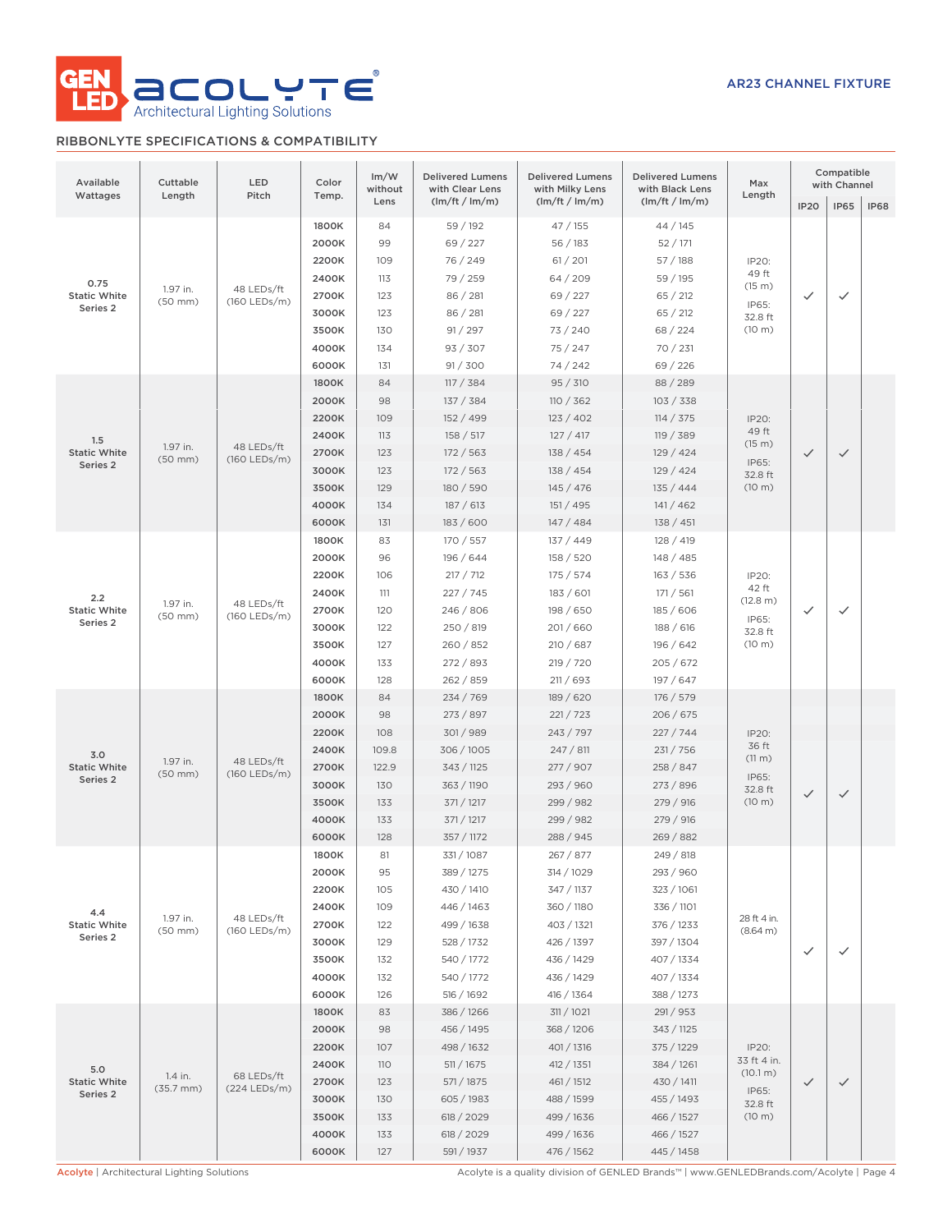

# RIBBONLYTE SPECIFICATIONS & COMPATIBILITY

| Available<br>Wattages                              | Cuttable<br>Length        | LED<br>Pitch               | Color<br>Temp.                                                                | Im/W<br>without                                                  | <b>Delivered Lumens</b><br>with Clear Lens                                                                                 | <b>Delivered Lumens</b><br>with Milky Lens                                                                                 | <b>Delivered Lumens</b><br>with Black Lens                                                                                | Max<br>Length                                                    |              | Compatible<br>with Channel |             |
|----------------------------------------------------|---------------------------|----------------------------|-------------------------------------------------------------------------------|------------------------------------------------------------------|----------------------------------------------------------------------------------------------------------------------------|----------------------------------------------------------------------------------------------------------------------------|---------------------------------------------------------------------------------------------------------------------------|------------------------------------------------------------------|--------------|----------------------------|-------------|
|                                                    |                           |                            |                                                                               | Lens                                                             | (lm/ft / lm/m)                                                                                                             | (lm/ft / lm/m)                                                                                                             | (lm/ft / lm/m)                                                                                                            |                                                                  | <b>IP20</b>  | <b>IP65</b>                | <b>IP68</b> |
| 0.75<br><b>Static White</b><br>Series <sub>2</sub> | 1.97 in.<br>$(50$ mm $)$  | 48 LEDs/ft<br>(160 LEDs/m) | 1800K<br>2000K<br>2200K<br>2400K<br>2700K<br>3000K<br>3500K<br>4000K<br>6000K | 84<br>99<br>109<br>113<br>123<br>123<br>130<br>134<br>131        | 59 / 192<br>69 / 227<br>76 / 249<br>79 / 259<br>86 / 281<br>86 / 281<br>91 / 297<br>93 / 307<br>91 / 300                   | 47 / 155<br>56/183<br>61 / 201<br>64/209<br>69 / 227<br>69 / 227<br>73 / 240<br>75 / 247<br>74 / 242                       | 44/145<br>52/171<br>57/188<br>59 / 195<br>65 / 212<br>65 / 212<br>68 / 224<br>70 / 231<br>69 / 226                        | IP20:<br>49 ft<br>(15 m)<br>IP65:<br>32.8 ft<br>(10 m)           | ✓            | ✓                          |             |
| 1.5<br><b>Static White</b><br>Series 2             | 1.97 in.<br>$(50$ mm $)$  | 48 LEDs/ft<br>(160 LEDs/m) | 1800K<br>2000K<br>2200K<br>2400K<br>2700K<br>3000K<br>3500K<br>4000K<br>6000K | 84<br>98<br>109<br>113<br>123<br>123<br>129<br>134<br>131        | 117 / 384<br>137 / 384<br>152 / 499<br>158 / 517<br>172 / 563<br>172 / 563<br>180 / 590<br>187 / 613<br>183 / 600          | 95 / 310<br>110 / 362<br>123 / 402<br>127 / 417<br>138 / 454<br>138 / 454<br>145 / 476<br>151 / 495<br>147/484             | 88 / 289<br>103 / 338<br>114 / 375<br>119 / 389<br>129 / 424<br>129/424<br>135 / 444<br>141/462<br>138 / 451              | IP20:<br>49 ft<br>(15 m)<br>IP65:<br>32.8 ft<br>(10 m)           | $\checkmark$ | $\checkmark$               |             |
| 2.2<br><b>Static White</b><br>Series 2             | 1.97 in.<br>$(50$ mm $)$  | 48 LEDs/ft<br>(160 LEDs/m) | 1800K<br>2000K<br>2200K<br>2400K<br>2700K<br>3000K<br>3500K<br>4000K<br>6000K | 83<br>96<br>106<br>111<br>120<br>122<br>127<br>133<br>128        | 170 / 557<br>196 / 644<br>217 / 712<br>227/745<br>246 / 806<br>250 / 819<br>260 / 852<br>272 / 893<br>262 / 859            | 137 / 449<br>158 / 520<br>175 / 574<br>183 / 601<br>198 / 650<br>201/660<br>210 / 687<br>219 / 720<br>211 / 693            | 128 / 419<br>148 / 485<br>163 / 536<br>171 / 561<br>185 / 606<br>188/616<br>196 / 642<br>205 / 672<br>197 / 647           | IP20:<br>42 ft<br>(12.8 m)<br>IP65:<br>32.8 ft<br>(10 m)         | ✓            | $\checkmark$               |             |
| 3.0<br><b>Static White</b><br>Series 2             | 1.97 in.<br>$(50$ mm $)$  | 48 LEDs/ft<br>(160 LEDs/m) | 1800K<br>2000K<br>2200K<br>2400K<br>2700K<br>3000K<br>3500K<br>4000K<br>6000K | 84<br>98<br>108<br>109.8<br>122.9<br>130<br>133<br>133<br>128    | 234 / 769<br>273 / 897<br>301/989<br>306/1005<br>343 / 1125<br>363 / 1190<br>371 / 1217<br>371 / 1217<br>357 / 1172        | 189 / 620<br>221 / 723<br>243 / 797<br>247 / 811<br>277 / 907<br>293 / 960<br>299 / 982<br>299 / 982<br>288 / 945          | 176 / 579<br>206 / 675<br>227/744<br>231 / 756<br>258 / 847<br>273 / 896<br>279 / 916<br>279 / 916<br>269 / 882           | IP20:<br>36 ft<br>$(11 \text{ m})$<br>IP65:<br>32.8 ft<br>(10 m) | $\checkmark$ | $\checkmark$               |             |
| 4.4<br><b>Static White</b><br>Series 2             | 1.97 in.<br>$(50$ mm $)$  | 48 LEDs/ft<br>(160 LEDs/m) | 1800K<br>2000K<br>2200K<br>2400K<br>2700K<br>3000K<br>3500K<br>4000K<br>6000K | 81<br>95<br>105<br>109<br>122<br>129<br>132<br>132<br>126        | 331 / 1087<br>389 / 1275<br>430 / 1410<br>446 / 1463<br>499 / 1638<br>528 / 1732<br>540 / 1772<br>540 / 1772<br>516 / 1692 | 267 / 877<br>314 / 1029<br>347 / 1137<br>360 / 1180<br>403 / 1321<br>426 / 1397<br>436 / 1429<br>436 / 1429<br>416 / 1364  | 249 / 818<br>293 / 960<br>323 / 1061<br>336 / 1101<br>376 / 1233<br>397 / 1304<br>407 / 1334<br>407 / 1334<br>388 / 1273  | 28 ft 4 in.<br>(8.64 m)                                          | ✓            | $\checkmark$               |             |
| 5.0<br><b>Static White</b><br>Series 2             | 1.4 in.<br>$(35.7$ mm $)$ | 68 LEDs/ft<br>(224 LEDs/m) | 1800K<br>2000K<br>2200K<br>2400K<br>2700K<br>3000K<br>3500K<br>4000K<br>6000K | 83<br>98<br>107<br><b>110</b><br>123<br>130<br>133<br>133<br>127 | 386 / 1266<br>456 / 1495<br>498 / 1632<br>511 / 1675<br>571 / 1875<br>605 / 1983<br>618 / 2029<br>618 / 2029<br>591 / 1937 | 311 / 1021<br>368 / 1206<br>401 / 1316<br>412 / 1351<br>461 / 1512<br>488 / 1599<br>499 / 1636<br>499 / 1636<br>476 / 1562 | 291 / 953<br>343 / 1125<br>375 / 1229<br>384 / 1261<br>430 / 1411<br>455 / 1493<br>466 / 1527<br>466 / 1527<br>445 / 1458 | IP20:<br>33 ft 4 in.<br>(10.1 m)<br>IP65:<br>32.8 ft<br>(10 m)   | $\checkmark$ | ✓                          |             |

Acolyte | Architectural Lighting Solutions **Acolyte is a quality division of GENLED Brands™** | www.GENLEDBrands.com/Acolyte | Page 4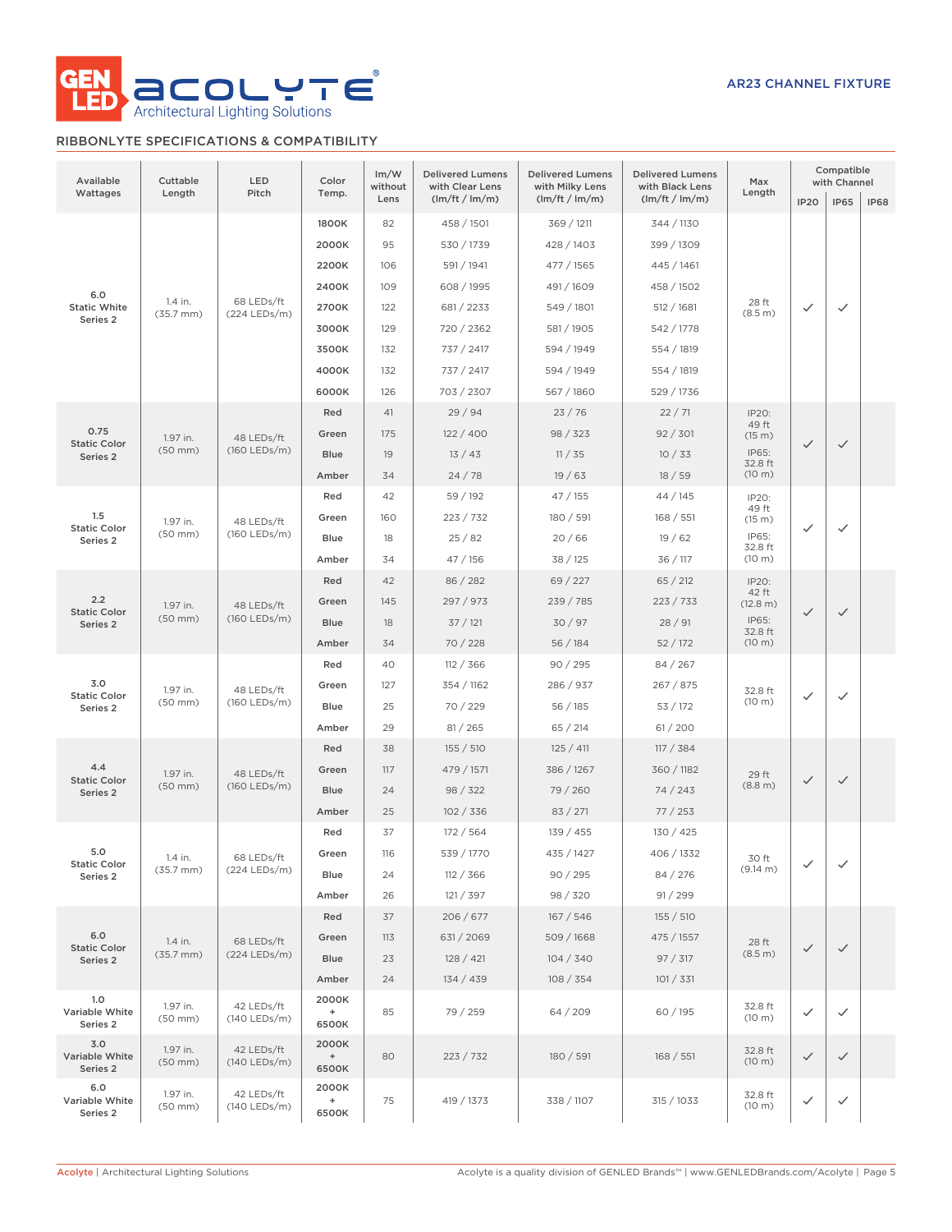

# RIBBONLYTE SPECIFICATIONS & COMPATIBILITY

| Available<br>Wattages                             | Cuttable<br>Length               | LED<br>Pitch               | Color<br>Temp.                                     | Im/W<br>without<br>Lens  | <b>Delivered Lumens</b><br>with Clear Lens<br>(lm/ft / lm/m) | <b>Delivered Lumens</b><br>with Milky Lens<br>(lm/ft / lm/m) | <b>Delivered Lumens</b><br>with Black Lens<br>(lm/ft / lm/m) | Max<br>Length                                            | <b>IP20</b>  | Compatible<br>with Channel<br><b>IP65</b> | <b>IP68</b> |
|---------------------------------------------------|----------------------------------|----------------------------|----------------------------------------------------|--------------------------|--------------------------------------------------------------|--------------------------------------------------------------|--------------------------------------------------------------|----------------------------------------------------------|--------------|-------------------------------------------|-------------|
|                                                   |                                  |                            | 1800K<br>2000K                                     | 82<br>95                 | 458 / 1501<br>530 / 1739                                     | 369 / 1211<br>428 / 1403                                     | 344 / 1130<br>399 / 1309                                     |                                                          |              |                                           |             |
| 6.0<br><b>Static White</b><br>Series <sub>2</sub> | 1.4 in.<br>$(35.7 \, \text{mm})$ | 68 LEDs/ft<br>(224 LEDs/m) | 2200K<br>2400K<br>2700K<br>3000K                   | 106<br>109<br>122<br>129 | 591 / 1941<br>608 / 1995<br>681 / 2233<br>720 / 2362         | 477 / 1565<br>491 / 1609<br>549 / 1801<br>581 / 1905         | 445 / 1461<br>458 / 1502<br>512 / 1681<br>542 / 1778         | 28 ft<br>(8.5 m)                                         | $\checkmark$ | $\checkmark$                              |             |
|                                                   |                                  |                            | 3500K<br>4000K<br>6000K                            | 132<br>132<br>126        | 737 / 2417<br>737 / 2417<br>703 / 2307                       | 594 / 1949<br>594 / 1949<br>567 / 1860                       | 554 / 1819<br>554 / 1819<br>529 / 1736                       |                                                          |              |                                           |             |
| 0.75<br><b>Static Color</b><br>Series 2           | 1.97 in.<br>$(50$ mm $)$         | 48 LEDs/ft<br>(160 LEDs/m) | Red<br>Green<br><b>Blue</b><br>Amber               | 41<br>175<br>19<br>34    | 29/94<br>122/400<br>13/43<br>24/78                           | 23/76<br>98 / 323<br>11 / 35<br>19/63                        | 22/71<br>92 / 301<br>10/33<br>18/59                          | IP20:<br>49 ft<br>(15 m)<br>IP65:<br>32.8 ft<br>(10 m)   | $\checkmark$ | $\checkmark$                              |             |
| 1.5<br><b>Static Color</b><br>Series 2            | 1.97 in.<br>$(50$ mm $)$         | 48 LEDs/ft<br>(160 LEDs/m) | Red<br>Green<br>Blue<br>Amber                      | 42<br>160<br>18<br>34    | 59 / 192<br>223 / 732<br>25/82<br>47 / 156                   | 47/155<br>180 / 591<br>20/66<br>38 / 125                     | 44 / 145<br>168 / 551<br>19/62<br>36 / 117                   | IP20:<br>49 ft<br>(15 m)<br>IP65:<br>32.8 ft<br>(10 m)   | $\checkmark$ | $\checkmark$                              |             |
| 2.2<br><b>Static Color</b><br>Series 2            | 1.97 in.<br>$(50$ mm $)$         | 48 LEDs/ft<br>(160 LEDs/m) | Red<br>Green<br><b>Blue</b><br>Amber               | 42<br>145<br>18<br>34    | 86 / 282<br>297 / 973<br>37/121<br>70/228                    | 69 / 227<br>239 / 785<br>30/97<br>56 / 184                   | 65 / 212<br>223 / 733<br>28/91<br>52/172                     | IP20:<br>42 ft<br>(12.8 m)<br>IP65:<br>32.8 ft<br>(10 m) | $\checkmark$ | $\checkmark$                              |             |
| 3.0<br><b>Static Color</b><br>Series 2            | 1.97 in.<br>$(50$ mm $)$         | 48 LEDs/ft<br>(160 LEDs/m) | Red<br>Green<br>Blue<br>Amber                      | 40<br>127<br>25<br>29    | 112 / 366<br>354 / 1162<br>70 / 229<br>81 / 265              | 90 / 295<br>286 / 937<br>56/185<br>65 / 214                  | 84 / 267<br>267 / 875<br>53/172<br>61/200                    | 32.8 ft<br>(10 m)                                        | $\checkmark$ | $\checkmark$                              |             |
| 4.4<br><b>Static Color</b><br>Series 2            | 1.97 in.<br>$(50$ mm $)$         | 48 LEDs/ft<br>(160 LEDs/m) | Red<br>Green<br><b>Blue</b><br>Amber               | 38<br>117<br>24<br>25    | 155 / 510<br>479 / 1571<br>98 / 322<br>102 / 336             | 125 / 411<br>386 / 1267<br>79 / 260<br>83 / 271              | 117 / 384<br>360 / 1182<br>74 / 243<br>77/253                | 29 ft<br>(8.8 m)                                         | $\checkmark$ | $\checkmark$                              |             |
| 5.0<br><b>Static Color</b><br>Series 2            | 1.4 in.<br>$(35.7 \, \text{mm})$ | 68 LEDs/ft<br>(224 LEDs/m) | Red<br>Green<br>Blue<br>Amber                      | 37<br>116<br>24<br>26    | 172 / 564<br>539 / 1770<br>112 / 366<br>121 / 397            | 139 / 455<br>435 / 1427<br>90/295<br>98 / 320                | 130 / 425<br>406 / 1332<br>84 / 276<br>91 / 299              | 30 ft<br>(9.14 m)                                        | ✓            | ✓                                         |             |
| 6.0<br><b>Static Color</b><br>Series 2            | 1.4 in.<br>$(35.7 \, \text{mm})$ | 68 LEDs/ft<br>(224 LEDs/m) | Red<br>Green<br><b>Blue</b><br>Amber               | 37<br>113<br>23<br>24    | 206/677<br>631/2069<br>128 / 421<br>134 / 439                | 167 / 546<br>509 / 1668<br>104 / 340<br>108 / 354            | 155 / 510<br>475 / 1557<br>97 / 317<br>101 / 331             | 28 ft<br>(8.5 m)                                         | $\checkmark$ | $\checkmark$                              |             |
| 1.0<br>Variable White<br>Series 2                 | 1.97 in.<br>$(50$ mm $)$         | 42 LEDs/ft<br>(140 LEDs/m) | 2000K<br>$\begin{array}{c} + \end{array}$<br>6500K | 85                       | 79 / 259                                                     | 64 / 209                                                     | 60 / 195                                                     | 32.8 ft<br>(10 m)                                        | $\checkmark$ | $\checkmark$                              |             |
| 3.0<br>Variable White<br>Series 2                 | 1.97 in.<br>$(50$ mm $)$         | 42 LEDs/ft<br>(140 LEDs/m) | 2000K<br>$\begin{array}{c} + \end{array}$<br>6500K | 80                       | 223 / 732                                                    | 180 / 591                                                    | 168 / 551                                                    | 32.8 ft<br>(10 m)                                        | $\checkmark$ | $\checkmark$                              |             |
| 6.0<br>Variable White<br>Series 2                 | 1.97 in.<br>(50 mm)              | 42 LEDs/ft<br>(140 LEDs/m) | 2000K<br>$\begin{array}{c} + \end{array}$<br>6500K | 75                       | 419 / 1373                                                   | 338 / 1107                                                   | 315 / 1033                                                   | 32.8 ft<br>(10 m)                                        | ✓            | $\checkmark$                              |             |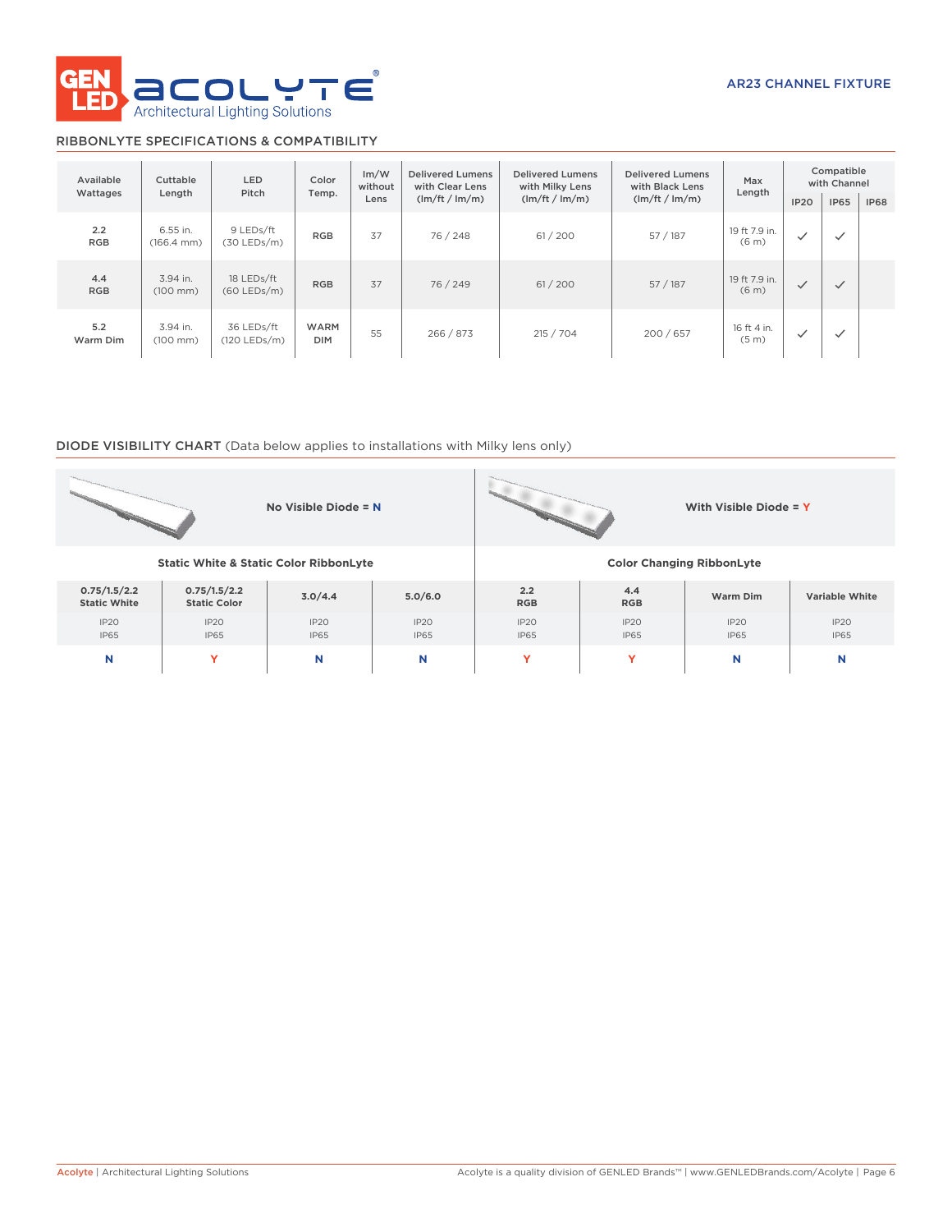

# RIBBONLYTE SPECIFICATIONS & COMPATIBILITY

| Available<br>Wattages | Cuttable<br>Length                 | <b>LED</b><br>Color<br>Pitch<br>Temp. |                           | Im/W<br>without<br>Lens | <b>Delivered Lumens</b><br>with Clear Lens<br>(lm/ft / lm/m) | <b>Delivered Lumens</b><br>with Milky Lens<br>(lm/ft / lm/m) | <b>Delivered Lumens</b><br>with Black Lens<br>(lm/ft / lm/m) |                                    | <b>IP20</b>  | Compatible<br>with Channel<br><b>IP65</b> | <b>IP68</b> |
|-----------------------|------------------------------------|---------------------------------------|---------------------------|-------------------------|--------------------------------------------------------------|--------------------------------------------------------------|--------------------------------------------------------------|------------------------------------|--------------|-------------------------------------------|-------------|
| 2.2<br><b>RGB</b>     | 6.55 in.<br>$(166.4 \, \text{mm})$ | 9 LEDs/ft<br>$(30$ LEDs/m)            | 37<br><b>RGB</b>          |                         | 76 / 248                                                     | 61/200                                                       | 57/187                                                       | 19 ft 7.9 in.<br>(6 <sub>m</sub> ) | $\checkmark$ | $\checkmark$                              |             |
| 4.4<br><b>RGB</b>     | 3.94 in.<br>$(100 \, \text{mm})$   | 18 LEDs/ft<br>$(60$ LEDs/m)           | 37<br><b>RGB</b>          |                         | 76 / 249                                                     | 61 / 200                                                     | 57/187                                                       | 19 ft 7.9 in.<br>(6 <sub>m</sub> ) | $\checkmark$ | $\checkmark$                              |             |
| 5.2<br>Warm Dim       | 3.94 in.<br>$(100 \, \text{mm})$   | 36 LEDs/ft<br>$(120$ LEDs/m)          | <b>WARM</b><br><b>DIM</b> | 55                      | 266 / 873                                                    | 215 / 704                                                    | 200 / 657                                                    | 16 ft 4 in.<br>(5 <sub>m</sub> )   | $\checkmark$ | $\checkmark$                              |             |

# DIODE VISIBILITY CHART (Data below applies to installations with Milky lens only)

|                                                        |                                                   | No Visible Diode = N |                     | With Visible Diode = Y           |                     |                     |                     |  |  |  |  |
|--------------------------------------------------------|---------------------------------------------------|----------------------|---------------------|----------------------------------|---------------------|---------------------|---------------------|--|--|--|--|
|                                                        | <b>Static White &amp; Static Color RibbonLyte</b> |                      |                     | <b>Color Changing RibbonLyte</b> |                     |                     |                     |  |  |  |  |
| 0.75/1.5/2.2<br><b>Static White</b>                    | 0.75/1.5/2.2<br><b>Static Color</b>               | 3.0/4.4              | 5.0/6.0             | 2.2<br><b>RGB</b>                | 4.4<br><b>RGB</b>   | Warm Dim            | Variable White      |  |  |  |  |
| IP20<br>IP <sub>20</sub><br><b>IP65</b><br><b>IP65</b> |                                                   | IP2O<br><b>IP65</b>  | IP20<br><b>IP65</b> | IP2O<br><b>IP65</b>              | IP20<br><b>IP65</b> | IP20<br><b>IP65</b> | IP2O<br><b>IP65</b> |  |  |  |  |
| N<br>Y                                                 |                                                   | N                    | N                   | Y                                | v                   | N                   | N                   |  |  |  |  |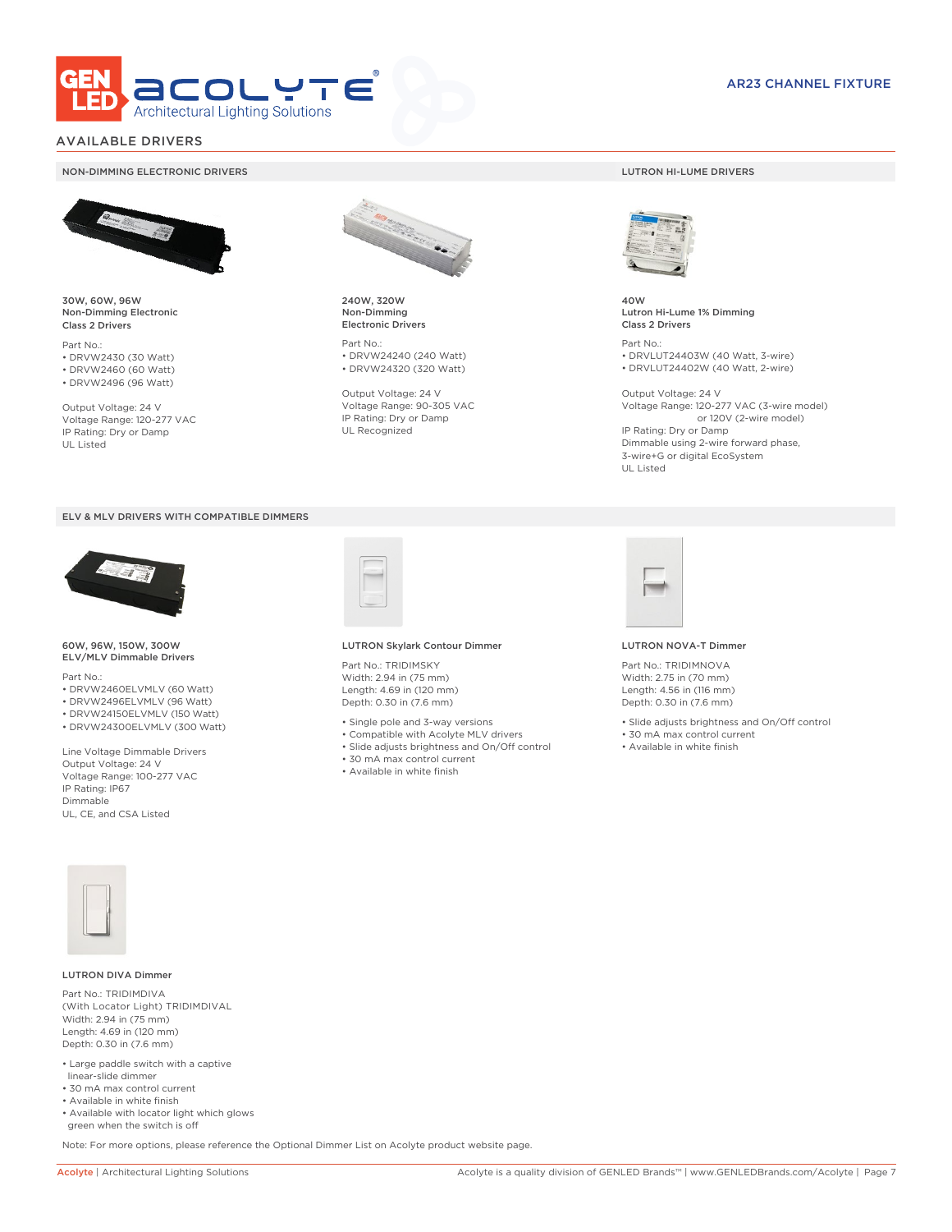

# AVAILABLE DRIVERS

### NON-DIMMING ELECTRONIC DRIVERS LUTRON HI-LUME DRIVERS



30W, 60W, 96W Non-Dimming Electronic Class 2 Drivers

Part No.: • DRVW2430 (30 Watt) • DRVW2460 (60 Watt)

• DRVW2496 (96 Watt)

Output Voltage: 24 V Voltage Range: 120-277 VAC IP Rating: Dry or Damp UL Listed





60W, 96W, 150W, 300W ELV/MLV Dimmable Drivers

Part No.:

- DRVW2460ELVMLV (60 Watt)
- DRVW2496ELVMLV (96 Watt)
- DRVW24150ELVMLV (150 Watt)
- DRVW24300ELVMLV (300 Watt)

Line Voltage Dimmable Drivers Output Voltage: 24 V Voltage Range: 100-277 VAC IP Rating: IP67 Dimmable UL, CE, and CSA Listed



240W, 320W Non-Dimming Electronic Drivers

Part No.: • DRVW24240 (240 Watt) • DRVW24320 (320 Watt)

Output Voltage: 24 V Voltage Range: 90-305 VAC IP Rating: Dry or Damp UL Recognized



40W Lutron Hi-Lume 1% Dimming Class 2 Drivers

Part No.: • DRVLUT24403W (40 Watt, 3-wire) • DRVLUT24402W (40 Watt, 2-wire)

Output Voltage: 24 V Voltage Range: 120-277 VAC (3-wire model) or 120V (2-wire model) IP Rating: Dry or Damp Dimmable using 2-wire forward phase, 3-wire+G or digital EcoSystem UL Listed



### LUTRON Skylark Contour Dimmer

Part No.: TRIDIMSKY Width: 2.94 in (75 mm) Length: 4.69 in (120 mm) Depth: 0.30 in (7.6 mm)

- Single pole and 3-way versions
- Compatible with Acolyte MLV drivers
- Slide adjusts brightness and On/Off control
- 30 mA max control current
- Available in white finish



### LUTRON NOVA-T Dimmer

Part No.: TRIDIMNOVA Width: 2.75 in (70 mm) Length: 4.56 in (116 mm) Depth: 0.30 in (7.6 mm)

- Slide adjusts brightness and On/Off control
- 30 mA max control current
- Available in white finish



### LUTRON DIVA Dimmer

Part No.: TRIDIMDIVA (With Locator Light) TRIDIMDIVAL Width: 2.94 in (75 mm) Length: 4.69 in (120 mm) Depth: 0.30 in (7.6 mm)

- Large paddle switch with a captive linear-slide dimmer
- 30 mA max control current
- Available in white finish
- Available with locator light which glows green when the switch is off

Note: For more options, please reference the Optional Dimmer List on Acolyte product website page.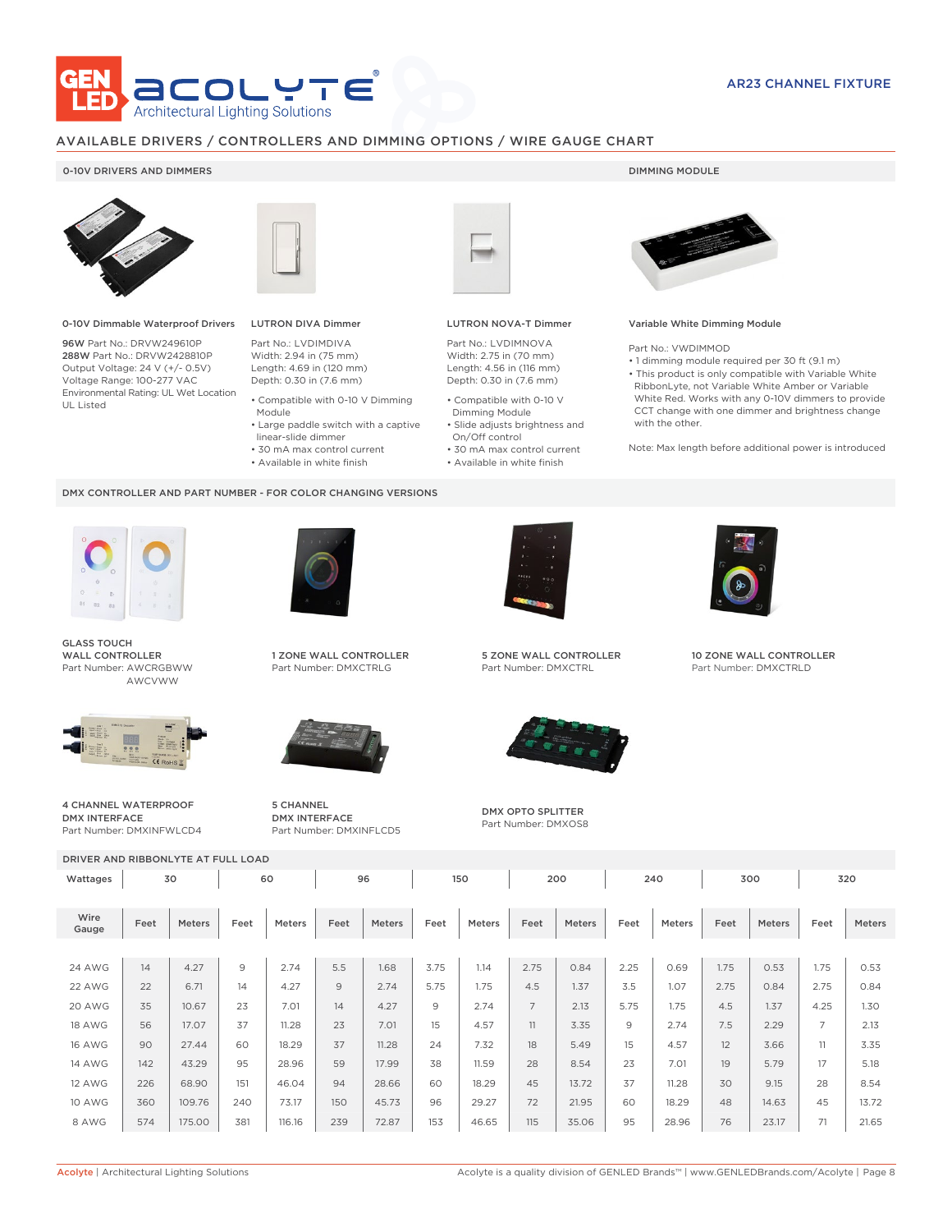

# AVAILABLE DRIVERS / CONTROLLERS AND DIMMING OPTIONS / WIRE GAUGE CHART

# 0-10V DRIVERS AND DIMMERS **DIMMING MODULE**



0-10V Dimmable Waterproof Drivers

96W Part No.: DRVW249610P 288W Part No.: DRVW2428810P Output Voltage: 24 V (+/- 0.5V) Voltage Range: 100-277 VAC Environmental Rating: UL Wet Location UL Listed



# LUTRON DIVA Dimmer

Part No.: LVDIMDIVA Width: 2.94 in (75 mm) Length: 4.69 in (120 mm) Depth: 0.30 in (7.6 mm)

- Compatible with 0-10 V Dimming Module
- Large paddle switch with a captive
- linear-slide dimmer
- 30 mA max control current
- Available in white finish

### DMX CONTROLLER AND PART NUMBER - FOR COLOR CHANGING VERSIONS



GLASS TOUCH WALL CONTROLLER Part Number: AWCRGBWW AWCVWW



DMX INTERFACE Part Number: DMXINFWLCD4



1 ZONE WALL CONTROLLER Part Number: DMXCTRLG



5 CHANNEL DMX INTERFACE Part Number: DMXINFLCD5



### LUTRON NOVA-T Dimmer

Part No.: LVDIMNOVA Width: 2.75 in (70 mm) Length: 4.56 in (116 mm) Depth: 0.30 in (7.6 mm)

- Compatible with 0-10 V Dimming Module
- Slide adjusts brightness and On/Off control
- 30 mA max control current • Available in white finish
	-



### Variable White Dimming Module

Part No.: VWDIMMOD

• 1 dimming module required per 30 ft (9.1 m) • This product is only compatible with Variable White RibbonLyte, not Variable White Amber or Variable White Red. Works with any 0-10V dimmers to provide CCT change with one dimmer and brightness change with the other.

Note: Max length before additional power is introduced



5 ZONE WALL CONTROLLER Part Number: DMXCTRL



DMX OPTO SPLITTER Part Number: DMXOS8



10 ZONE WALL CONTROLLER Part Number: DMXCTRLD

4 CHANNEL WATERPROOF

DRIVER AND RIBBONLYTE AT FULL LOAD

| Wattages      | 30   |               |      | 60     |      | 96     |      | 150    |                | 200           |               | 240    | 300  |        | 320            |        |
|---------------|------|---------------|------|--------|------|--------|------|--------|----------------|---------------|---------------|--------|------|--------|----------------|--------|
|               |      |               |      |        |      |        |      |        |                |               |               |        |      |        |                |        |
| Wire<br>Gauge | Feet | <b>Meters</b> | Feet | Meters | Feet | Meters | Feet | Meters | Feet           | <b>Meters</b> | Feet          | Meters | Feet | Meters | Feet           | Meters |
|               |      |               |      |        |      |        |      |        |                |               |               |        |      |        |                |        |
| <b>24 AWG</b> | 14   | 4.27          | 9    | 2.74   | 5.5  | 1.68   | 3.75 | 1.14   | 2.75           | 0.84          | 2.25          | 0.69   | 1.75 | 0.53   | 1.75           | 0.53   |
| 22 AWG        | 22   | 6.71          | 14   | 4.27   | 9    | 2.74   | 5.75 | 1.75   | 4.5            | 1.37          | 3.5           | 1.07   | 2.75 | 0.84   | 2.75           | 0.84   |
| 20 AWG        | 35   | 10.67         | 23   | 7.01   | 14   | 4.27   | 9    | 2.74   | $\overline{7}$ | 2.13          | 5.75          | 1.75   | 4.5  | 1.37   | 4.25           | 1.30   |
| 18 AWG        | 56   | 17.07         | 37   | 11.28  | 23   | 7.01   | 15   | 4.57   | 11             | 3.35          | $\mathcal{Q}$ | 2.74   | 7.5  | 2.29   | $\overline{ }$ | 2.13   |
| <b>16 AWG</b> | 90   | 27.44         | 60   | 18.29  | 37   | 11.28  | 24   | 7.32   | 18             | 5.49          | 15            | 4.57   | 12   | 3.66   | 11             | 3.35   |
| <b>14 AWG</b> | 142  | 43.29         | 95   | 28.96  | 59   | 17.99  | 38   | 11.59  | 28             | 8.54          | 23            | 7.01   | 19   | 5.79   | 17             | 5.18   |
| 12 AWG        | 226  | 68.90         | 151  | 46.04  | 94   | 28.66  | 60   | 18.29  | 45             | 13.72         | 37            | 11.28  | 30   | 9.15   | 28             | 8.54   |
| <b>10 AWG</b> | 360  | 109.76        | 240  | 73.17  | 150  | 45.73  | 96   | 29.27  | 72             | 21.95         | 60            | 18.29  | 48   | 14.63  | 45             | 13.72  |
| 8 AWG         | 574  | 175.00        | 381  | 116.16 | 239  | 72.87  | 153  | 46.65  | 115            | 35.06         | 95            | 28.96  | 76   | 23.17  | 71             | 21.65  |